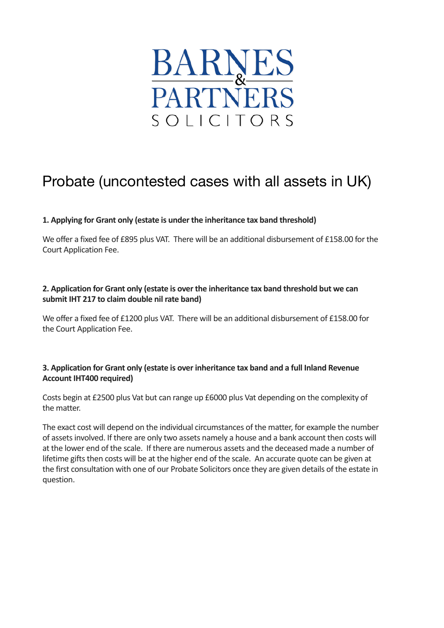

# Probate (uncontested cases with all assets in UK)

## **1. Applying for Grant only (estate is under the inheritance tax band threshold)**

We offer a fixed fee of £895 plus VAT. There will be an additional disbursement of £158.00 for the Court Application Fee.

### 2. Application for Grant only (estate is over the inheritance tax band threshold but we can submit IHT 217 to claim double nil rate band)

We offer a fixed fee of £1200 plus VAT. There will be an additional disbursement of £158.00 for the Court Application Fee.

#### **3. Application for Grant only (estate is over inheritance tax band and a full Inland Revenue Account IHT400 required)**

Costs begin at £2500 plus Vat but can range up £6000 plus Vat depending on the complexity of the matter.

The exact cost will depend on the individual circumstances of the matter, for example the number of assets involved. If there are only two assets namely a house and a bank account then costs will at the lower end of the scale. If there are numerous assets and the deceased made a number of lifetime gifts then costs will be at the higher end of the scale. An accurate quote can be given at the first consultation with one of our Probate Solicitors once they are given details of the estate in question.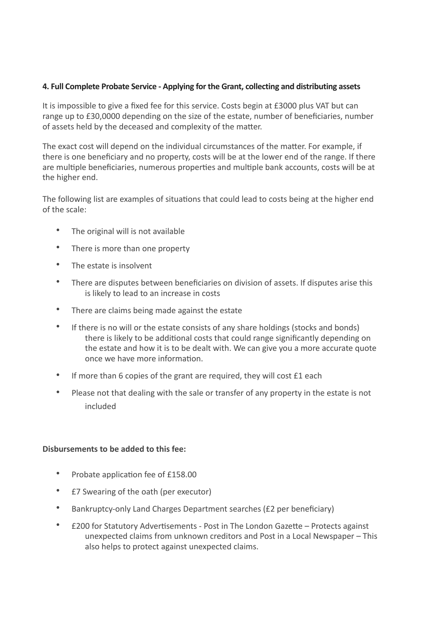#### 4. Full Complete Probate Service - Applying for the Grant, collecting and distributing assets

It is impossible to give a fixed fee for this service. Costs begin at £3000 plus VAT but can range up to £30,0000 depending on the size of the estate, number of beneficiaries, number of assets held by the deceased and complexity of the matter.

The exact cost will depend on the individual circumstances of the matter. For example, if there is one beneficiary and no property, costs will be at the lower end of the range. If there are multiple beneficiaries, numerous properties and multiple bank accounts, costs will be at the higher end.

The following list are examples of situations that could lead to costs being at the higher end of the scale:

- The original will is not available
- There is more than one property
- The estate is insolvent
- There are disputes between beneficiaries on division of assets. If disputes arise this is likely to lead to an increase in costs
- There are claims being made against the estate
- If there is no will or the estate consists of any share holdings (stocks and bonds) there is likely to be additional costs that could range significantly depending on the estate and how it is to be dealt with. We can give you a more accurate quote once we have more information.
- If more than 6 copies of the grant are required, they will cost  $£1$  each
- Please not that dealing with the sale or transfer of any property in the estate is not included

#### **Disbursements to be added to this fee:**

- Probate application fee of £158.00
- E7 Swearing of the oath (per executor)
- Bankruptcy-only Land Charges Department searches (£2 per beneficiary)
- E200 for Statutory Advertisements Post in The London Gazette Protects against unexpected claims from unknown creditors and Post in a Local Newspaper – This also helps to protect against unexpected claims.